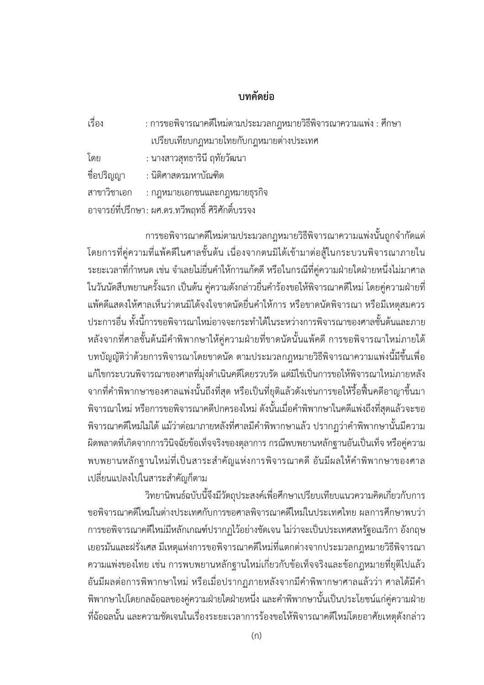## **บทคัดยอ**

| เรื่อง      | : การขอพิจารณาคดีใหม่ตามประมวลกฎหมายวิธีพิจารณาความแพ่ง : ศึกษา |
|-------------|-----------------------------------------------------------------|
|             | เปรียบเทียบกฎหมายไทยกับกฎหมายต่างประเทศ                         |
| โดย         | : นางสาวสุทธารินี ฤทัยวัฒนา                                     |
| ชื่อปริญญา  | : นิติศาสตรมหาบัณฑิต                                            |
| สาขาวิชาเอก | : กฎหมายเอกชนและกฎหมายธุรกิจ                                    |
|             | อาจารย์ที่ปรึกษา : ผศ.ดร.ทวีพฤทธิ์ ศิริศักดิ์บรรจง              |

การขอพิจารณาคดีใหมตามประมวลกฎหมายวิธีพิจารณาความแพงนั้นถูกจํากัดแต โดยการที่คูความที่แพคดีในศาลชั้นตน เนื่องจากตนมิไดเขามาตอสูในกระบวนพิจารณาภายใน ้ ระยะเวลาที่กำหนด เช่น จำเลยไม่ยื่นคำให้การแก้คดี หรือในกรณีที่คู่ความฝ่ายใดฝ่ายหนึ่งไม่มาศาล ในวันนัดสืบพยานครั้งแรก เปนตน คูความดังกลาวยื่นคํารองขอใหพิจารณาคดีใหม โดยคูความฝายที่ แพคดีแสดงใหศาลเห็นวาตนมิไดจงใจขาดนัดยื่นคําใหการ หรือขาดนัดพิจารณา หรือมีเหตุสมควร ประการอื่น ทั้งนี้การขอพิจารณาใหมอาจจะกระทําไดในระหวางการพิจารณาของศาลชั้นตนและภาย หลังจากที่ศาลชั้นต้นมีคำพิพากษาให้คู่ความฝ่ายที่ขาดนัดนั้นแพ้คดี การขอพิจารณาใหม่ภายใต้ บทบัญญัติวาดวยการพิจารณาโดยขาดนัด ตามประมวลกฎหมายวิธีพิจารณาความแพงนี้มีขึ้นเพื่อ แก้ไขกระบวนพิจารณาของศาลที่มุ่งดำเนินคดีโดยรวบรัด แต่มิใช่เป็นการขอให้พิจารณาใหม่ภายหลัง จากที่คําพิพากษาของศาลแพงนั้นถึงที่สุด หรือเปนที่ยุติแลวดังเชนการขอใหรื้อฟนคดีอาญาขึ้นมา พิจารณาใหม่ หรือการขอพิจารณาคดีปกครองใหม่ ดังนั้นเมื่อคำพิพากษาในคดีแพ่งถึงที่สุดแล้วจะขอ พิจารณาคดีใหม่ไม่ได้ แม้ว่าต่อมาภายหลังที่ศาลมีคำพิพากษาแล้ว ปรากฏว่าคำพิพากษานั้นมีความ ผิดพลาดที่เกิดจากการวินิจฉัยขอเท็จจริงของตุลาการ กรณีพบพยานหลักฐานอันเปนเท็จ หรือคูความ พบพยานหลักฐานใหมที่เปนสาระสําคัญแหงการพิจารณาคดี อันมีผลใหคําพิพากษาของศาล เปลี่ยนแปลงไปในสาระสําคัญก็ตาม

วิทยานิพนธฉบับนี้จึงมีวัตถุประสงคเพื่อศึกษาเปรียบเทียบแนวความคิดเกี่ยวกับการ ขอพิจารณาคดีใหม่ในต่างประเทศกับการขอศาลพิจารณาคดีใหม่ในประเทศไทย ผลการศึกษาพบว่า การขอพิจารณาคดีใหมมีหลักเกณฑปรากฏไวอยางชัดเจน ไมวาจะเปนประเทศสหรัฐอเมริกา อังกฤษ เยอรมันและฝรั่งเศส มีเหตุแหงการขอพิจารณาคดีใหมที่แตกตางจากประมวลกฎหมายวิธีพิจารณา ความแพงของไทย เชน การพบพยานหลักฐานใหมเกี่ยวกับขอเท็จจริงและขอกฎหมายที่ยุติไปแลว ้อันมีผลต่อการพิพากษาใหม่ หรือเมื่อปรากฏภายหลังจากมีคำพิพากษาศาลแล้วว่า ศาลได้มีคำ พิพากษาไปโดยกลฉ้อฉลของคู่ความฝ่ายใดฝ่ายหนึ่ง และคำพิพากษานั้นเป็นประโยชน์แก่คู่ความฝ่าย ที่ฉ้อฉลนั้น และความชัดเจนในเรื่องระยะเวลาการร้องขอให้พิจารณาคดีใหม่โดยอาศัยเหตุดังกล่าว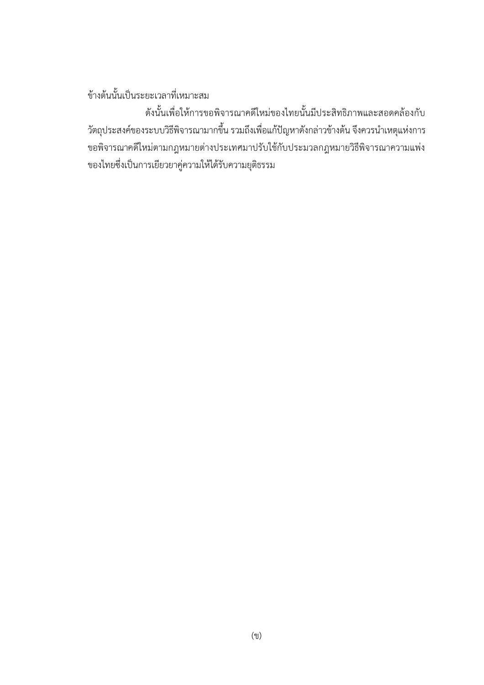## ขางตนนั้นเปนระยะเวลาที่เหมาะสม

ดังนั้นเพื่อใหการขอพิจารณาคดีใหมของไทยนั้นมีประสิทธิภาพและสอดคลองกับ วัตถุประสงค์ของระบบวิธีพิจารณามากขึ้น รวมถึงเพื่อแก้ปัญหาดังกล่าวข้างต้น จึงควรนำเหตุแห่งการ ขอพิจารณาคดีใหมตามกฎหมายตางประเทศมาปรับใชกับประมวลกฎหมายวิธีพิจารณาความแพง ของไทยซึ่งเปนการเยียวยาคูความใหไดรับความยุติธรรม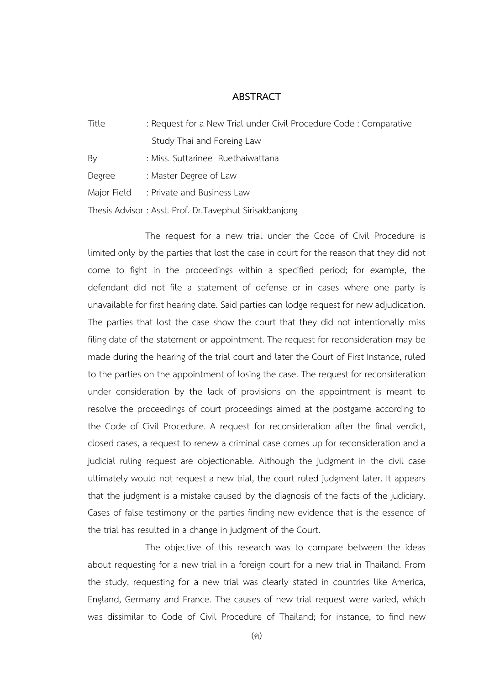## **ABSTRACT**

| Title       | : Request for a New Trial under Civil Procedure Code : Comparative |
|-------------|--------------------------------------------------------------------|
|             | Study Thai and Foreing Law                                         |
| By          | : Miss. Suttarinee Ruethaiwattana                                  |
| Degree      | : Master Degree of Law                                             |
| Major Field | : Private and Business Law                                         |
|             | Thesis Advisor: Asst. Prof. Dr. Tavephut Sirisakbanjong            |

The request for a new trial under the Code of Civil Procedure is limited only by the parties that lost the case in court for the reason that they did not come to fight in the proceedings within a specified period; for example, the defendant did not file a statement of defense or in cases where one party is unavailable for first hearing date. Said parties can lodge request for new adjudication. The parties that lost the case show the court that they did not intentionally miss filing date of the statement or appointment. The request for reconsideration may be made during the hearing of the trial court and later the Court of First Instance, ruled to the parties on the appointment of losing the case. The request for reconsideration under consideration by the lack of provisions on the appointment is meant to resolve the proceedings of court proceedings aimed at the postgame according to the Code of Civil Procedure. A request for reconsideration after the final verdict, closed cases, a request to renew a criminal case comes up for reconsideration and a judicial ruling request are objectionable. Although the judgment in the civil case ultimately would not request a new trial, the court ruled judgment later. It appears that the judgment is a mistake caused by the diagnosis of the facts of the judiciary. Cases of false testimony or the parties finding new evidence that is the essence of the trial has resulted in a change in judgment of the Court.

The objective of this research was to compare between the ideas about requesting for a new trial in a foreign court for a new trial in Thailand. From the study, requesting for a new trial was clearly stated in countries like America, England, Germany and France. The causes of new trial request were varied, which was dissimilar to Code of Civil Procedure of Thailand; for instance, to find new